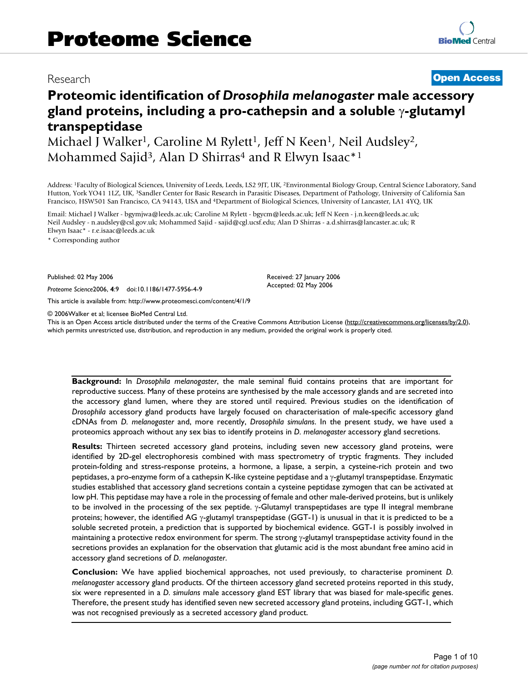# Research **[Open Access](http://www.biomedcentral.com/info/about/charter/)**

# **Proteomic identification of** *Drosophila melanogaster* **male accessory gland proteins, including a pro-cathepsin and a soluble** γ**-glutamyl transpeptidase**

Michael J Walker<sup>1</sup>, Caroline M Rylett<sup>1</sup>, Jeff N Keen<sup>1</sup>, Neil Audsley<sup>2</sup>, Mohammed Sajid<sup>3</sup>, Alan D Shirras<sup>4</sup> and R Elwyn Isaac<sup>\*1</sup>

Address: <sup>1</sup>Faculty of Biological Sciences, University of Leeds, Leeds, LS2 9JT, UK, <sup>2</sup>Environmental Biology Group, Central Science Laboratory, Sand Hutton, York YO41 1LZ, UK, 3Sandler Center for Basic Research in Parasitic Diseases, Department of Pathology, University of California San Francisco, HSW501 San Francisco, CA 94143, USA and 4Department of Biological Sciences, University of Lancaster, LA1 4YQ, UK

Email: Michael J Walker - bgymjwa@leeds.ac.uk; Caroline M Rylett - bgycm@leeds.ac.uk; Jeff N Keen - j.n.keen@leeds.ac.uk; Neil Audsley - n.audsley@csl.gov.uk; Mohammed Sajid - sajid@cgl.ucsf.edu; Alan D Shirras - a.d.shirras@lancaster.ac.uk; R Elwyn Isaac\* - r.e.isaac@leeds.ac.uk

\* Corresponding author

Published: 02 May 2006

*Proteome Science*2006, **4**:9 doi:10.1186/1477-5956-4-9

[This article is available from: http://www.proteomesci.com/content/4/1/9](http://www.proteomesci.com/content/4/1/9)

© 2006Walker et al; licensee BioMed Central Ltd.

This is an Open Access article distributed under the terms of the Creative Commons Attribution License [\(http://creativecommons.org/licenses/by/2.0\)](http://creativecommons.org/licenses/by/2.0), which permits unrestricted use, distribution, and reproduction in any medium, provided the original work is properly cited.

Received: 27 January 2006 Accepted: 02 May 2006

**Background:** In *Drosophila melanogaster*, the male seminal fluid contains proteins that are important for reproductive success. Many of these proteins are synthesised by the male accessory glands and are secreted into the accessory gland lumen, where they are stored until required. Previous studies on the identification of *Drosophila* accessory gland products have largely focused on characterisation of male-specific accessory gland cDNAs from *D. melanogaster* and, more recently, *Drosophila simulans*. In the present study, we have used a proteomics approach without any sex bias to identify proteins in *D. melanogaster* accessory gland secretions.

**Results:** Thirteen secreted accessory gland proteins, including seven new accessory gland proteins, were identified by 2D-gel electrophoresis combined with mass spectrometry of tryptic fragments. They included protein-folding and stress-response proteins, a hormone, a lipase, a serpin, a cysteine-rich protein and two peptidases, a pro-enzyme form of a cathepsin K-like cysteine peptidase and a γ-glutamyl transpeptidase. Enzymatic studies established that accessory gland secretions contain a cysteine peptidase zymogen that can be activated at low pH. This peptidase may have a role in the processing of female and other male-derived proteins, but is unlikely to be involved in the processing of the sex peptide. γ-Glutamyl transpeptidases are type II integral membrane proteins; however, the identified AG γ-glutamyl transpeptidase (GGT-1) is unusual in that it is predicted to be a soluble secreted protein, a prediction that is supported by biochemical evidence. GGT-1 is possibly involved in maintaining a protective redox environment for sperm. The strong  $\gamma$ -glutamyl transpeptidase activity found in the secretions provides an explanation for the observation that glutamic acid is the most abundant free amino acid in accessory gland secretions of *D. melanogaster*.

**Conclusion:** We have applied biochemical approaches, not used previously, to characterise prominent *D. melanogaster* accessory gland products. Of the thirteen accessory gland secreted proteins reported in this study, six were represented in a *D. simulans* male accessory gland EST library that was biased for male-specific genes. Therefore, the present study has identified seven new secreted accessory gland proteins, including GGT-1, which was not recognised previously as a secreted accessory gland product.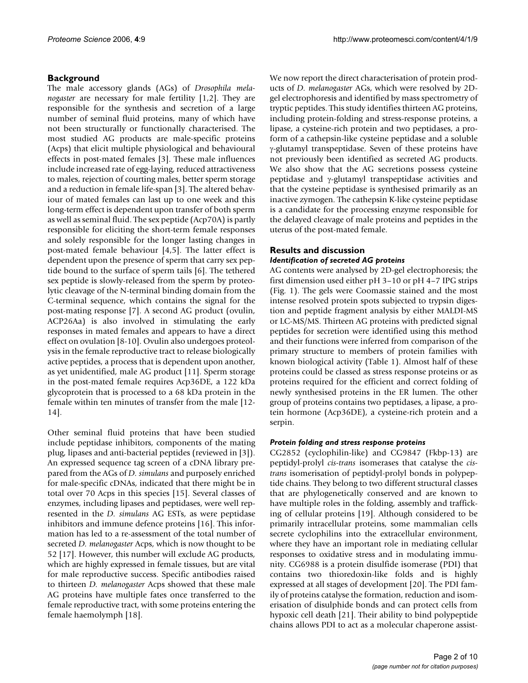# **Background**

The male accessory glands (AGs) of *Drosophila melanogaster* are necessary for male fertility [1,2]. They are responsible for the synthesis and secretion of a large number of seminal fluid proteins, many of which have not been structurally or functionally characterised. The most studied AG products are male-specific proteins (Acps) that elicit multiple physiological and behavioural effects in post-mated females [3]. These male influences include increased rate of egg-laying, reduced attractiveness to males, rejection of courting males, better sperm storage and a reduction in female life-span [3]. The altered behaviour of mated females can last up to one week and this long-term effect is dependent upon transfer of both sperm as well as seminal fluid. The sex peptide (Acp70A) is partly responsible for eliciting the short-term female responses and solely responsible for the longer lasting changes in post-mated female behaviour [4,5]. The latter effect is dependent upon the presence of sperm that carry sex peptide bound to the surface of sperm tails [6]. The tethered sex peptide is slowly-released from the sperm by proteolytic cleavage of the N-terminal binding domain from the C-terminal sequence, which contains the signal for the post-mating response [7]. A second AG product (ovulin, ACP26Aa) is also involved in stimulating the early responses in mated females and appears to have a direct effect on ovulation [8-10]. Ovulin also undergoes proteolysis in the female reproductive tract to release biologically active peptides, a process that is dependent upon another, as yet unidentified, male AG product [11]. Sperm storage in the post-mated female requires Acp36DE, a 122 kDa glycoprotein that is processed to a 68 kDa protein in the female within ten minutes of transfer from the male [12- 14].

Other seminal fluid proteins that have been studied include peptidase inhibitors, components of the mating plug, lipases and anti-bacterial peptides (reviewed in [3]). An expressed sequence tag screen of a cDNA library prepared from the AGs of *D. simulans* and purposely enriched for male-specific cDNAs, indicated that there might be in total over 70 Acps in this species [15]. Several classes of enzymes, including lipases and peptidases, were well represented in the *D. simulans* AG ESTs, as were peptidase inhibitors and immune defence proteins [16]. This information has led to a re-assessment of the total number of secreted *D. melanogaster* Acps, which is now thought to be 52 [17]. However, this number will exclude AG products, which are highly expressed in female tissues, but are vital for male reproductive success. Specific antibodies raised to thirteen *D. melanogaster* Acps showed that these male AG proteins have multiple fates once transferred to the female reproductive tract, with some proteins entering the female haemolymph [18].

We now report the direct characterisation of protein products of *D. melanogaster* AGs, which were resolved by 2Dgel electrophoresis and identified by mass spectrometry of tryptic peptides. This study identifies thirteen AG proteins, including protein-folding and stress-response proteins, a lipase, a cysteine-rich protein and two peptidases, a proform of a cathepsin-like cysteine peptidase and a soluble γ-glutamyl transpeptidase. Seven of these proteins have not previously been identified as secreted AG products. We also show that the AG secretions possess cysteine peptidase and γ-glutamyl transpeptidase activities and that the cysteine peptidase is synthesised primarily as an inactive zymogen. The cathepsin K-like cysteine peptidase is a candidate for the processing enzyme responsible for the delayed cleavage of male proteins and peptides in the uterus of the post-mated female.

# **Results and discussion** *Identification of secreted AG proteins*

AG contents were analysed by 2D-gel electrophoresis; the first dimension used either pH 3–10 or pH 4–7 IPG strips (Fig. 1). The gels were Coomassie stained and the most intense resolved protein spots subjected to trypsin digestion and peptide fragment analysis by either MALDI-MS or LC-MS/MS. Thirteen AG proteins with predicted signal peptides for secretion were identified using this method and their functions were inferred from comparison of the primary structure to members of protein families with known biological activity (Table 1). Almost half of these proteins could be classed as stress response proteins or as proteins required for the efficient and correct folding of newly synthesised proteins in the ER lumen. The other group of proteins contains two peptidases, a lipase, a protein hormone (Acp36DE), a cysteine-rich protein and a serpin.

# *Protein folding and stress response proteins*

CG2852 (cyclophilin-like) and CG9847 (Fkbp-13) are peptidyl-prolyl *cis-trans* isomerases that catalyse the *cistrans* isomerisation of peptidyl-prolyl bonds in polypeptide chains. They belong to two different structural classes that are phylogenetically conserved and are known to have multiple roles in the folding, assembly and trafficking of cellular proteins [19]. Although considered to be primarily intracellular proteins, some mammalian cells secrete cyclophilins into the extracellular environment, where they have an important role in mediating cellular responses to oxidative stress and in modulating immunity. CG6988 is a protein disulfide isomerase (PDI) that contains two thioredoxin-like folds and is highly expressed at all stages of development [20]. The PDI family of proteins catalyse the formation, reduction and isomerisation of disulphide bonds and can protect cells from hypoxic cell death [21]. Their ability to bind polypeptide chains allows PDI to act as a molecular chaperone assist-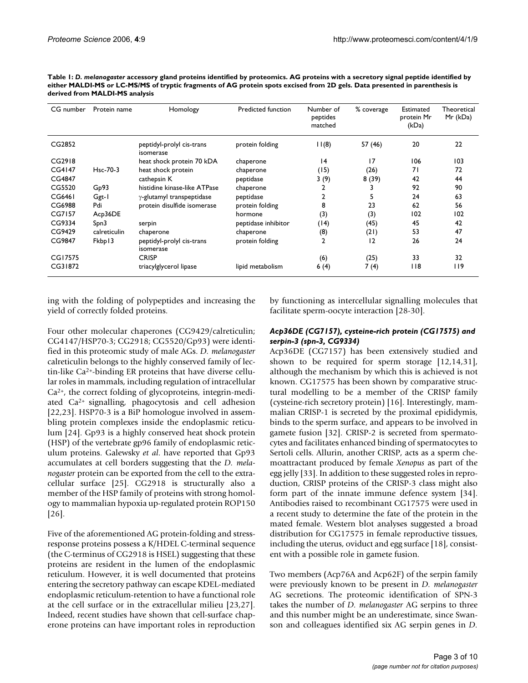| CG number | Protein name | Homology                               | Predicted function  | Number of<br>peptides<br>matched | % coverage | Estimated<br>protein Mr<br>(kDa) | Theoretical<br>Mr (kDa) |
|-----------|--------------|----------------------------------------|---------------------|----------------------------------|------------|----------------------------------|-------------------------|
| CG2852    |              | peptidyl-prolyl cis-trans<br>isomerase | protein folding     | 11(8)                            | 57 (46)    | 20                               | 22                      |
| CG2918    |              | heat shock protein 70 kDA              | chaperone           | 4                                | 17         | 106                              | 103                     |
| CG4147    | Hsc-70-3     | heat shock protein                     | chaperone           | (15)                             | (26)       | 71                               | 72                      |
| CG4847    |              | cathepsin K                            | peptidase           | 3(9)                             | 8(39)      | 42                               | 44                      |
| CG5520    | Gp93         | histidine kinase-like ATPase           | chaperone           | 2                                | 3          | 92                               | 90                      |
| CG6461    | Ggt-1        | y-glutamyl transpeptidase              | peptidase           | 2                                | 5          | 24                               | 63                      |
| CG6988    | Pdi          | protein disulfide isomerase            | protein folding     | 8                                | 23         | 62                               | 56                      |
| CG7157    | Acp36DE      |                                        | hormone             | (3)                              | (3)        | 102                              | 102                     |
| CG9334    | Spn3         | serpin                                 | peptidase inhibitor | (14)                             | (45)       | 45                               | 42                      |
| CG9429    | calreticulin | chaperone                              | chaperone           | (8)                              | (21)       | 53                               | 47                      |
| CG9847    | Fkbp13       | peptidyl-prolyl cis-trans<br>isomerase | protein folding     | 2                                | 2          | 26                               | 24                      |
| CG17575   |              | <b>CRISP</b>                           |                     | (6)                              | (25)       | 33                               | 32                      |
| CG31872   |              | triacylglycerol lipase                 | lipid metabolism    | 6(4)                             | 7(4)       | 118                              | 119                     |

**Table 1:** *D. melanogaster* **accessory gland proteins identified by proteomics. AG proteins with a secretory signal peptide identified by either MALDI-MS or LC-MS/MS of tryptic fragments of AG protein spots excised from 2D gels. Data presented in parenthesis is derived from MALDI-MS analysis**

ing with the folding of polypeptides and increasing the yield of correctly folded proteins.

Four other molecular chaperones (CG9429/calreticulin; CG4147/HSP70-3; CG2918; CG5520/Gp93) were identified in this proteomic study of male AGs. *D. melanogaster* calreticulin belongs to the highly conserved family of lectin-like Ca2+-binding ER proteins that have diverse cellular roles in mammals, including regulation of intracellular Ca2+, the correct folding of glycoproteins, integrin-mediated Ca2+ signalling, phagocytosis and cell adhesion [22,23]. HSP70-3 is a BiP homologue involved in assembling protein complexes inside the endoplasmic reticulum [24]. Gp93 is a highly conserved heat shock protein (HSP) of the vertebrate gp96 family of endoplasmic reticulum proteins. Galewsky *et al*. have reported that Gp93 accumulates at cell borders suggesting that the *D. melanogaster* protein can be exported from the cell to the extracellular surface [25]. CG2918 is structurally also a member of the HSP family of proteins with strong homology to mammalian hypoxia up-regulated protein ROP150 [26].

Five of the aforementioned AG protein-folding and stressresponse proteins possess a K/HDEL C-terminal sequence (the C-terminus of CG2918 is HSEL) suggesting that these proteins are resident in the lumen of the endoplasmic reticulum. However, it is well documented that proteins entering the secretory pathway can escape KDEL-mediated endoplasmic reticulum-retention to have a functional role at the cell surface or in the extracellular milieu [23,27]. Indeed, recent studies have shown that cell-surface chaperone proteins can have important roles in reproduction

by functioning as intercellular signalling molecules that facilitate sperm-oocyte interaction [28-30].

### *Acp36DE (CG7157), cysteine-rich protein (CG17575) and serpin-3 (spn-3, CG9334)*

Acp36DE (CG7157) has been extensively studied and shown to be required for sperm storage [12,14,31], although the mechanism by which this is achieved is not known. CG17575 has been shown by comparative structural modelling to be a member of the CRISP family (cysteine-rich secretory protein) [16]. Interestingly, mammalian CRISP-1 is secreted by the proximal epididymis, binds to the sperm surface, and appears to be involved in gamete fusion [32]. CRISP-2 is secreted from spermatocytes and facilitates enhanced binding of spermatocytes to Sertoli cells. Allurin, another CRISP, acts as a sperm chemoattractant produced by female *Xenopus* as part of the egg jelly [33]. In addition to these suggested roles in reproduction, CRISP proteins of the CRISP-3 class might also form part of the innate immune defence system [34]. Antibodies raised to recombinant CG17575 were used in a recent study to determine the fate of the protein in the mated female. Western blot analyses suggested a broad distribution for CG17575 in female reproductive tissues, including the uterus, oviduct and egg surface [18], consistent with a possible role in gamete fusion.

Two members (Acp76A and Acp62F) of the serpin family were previously known to be present in *D. melanogaster* AG secretions. The proteomic identification of SPN-3 takes the number of *D. melanogaster* AG serpins to three and this number might be an underestimate, since Swanson and colleagues identified six AG serpin genes in *D.*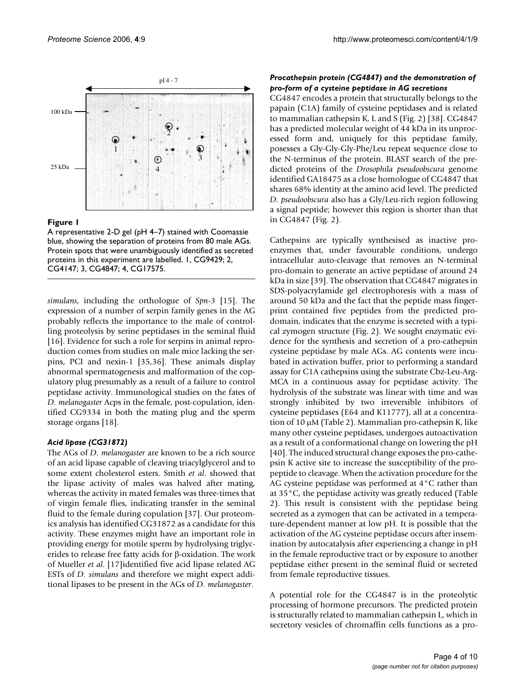

#### Figure 1

A representative 2-D gel (pH 4–7) stained with Coomassie blue, showing the separation of proteins from 80 male AGs. Protein spots that were unambiguously identified as secreted proteins in this experiment are labelled. 1, CG9429; 2, CG4147; 3, CG4847; 4, CG17575.

*simulans*, including the orthologue of *Spn-3* [15]. The expression of a number of serpin family genes in the AG probably reflects the importance to the male of controlling proteolysis by serine peptidases in the seminal fluid [16]. Evidence for such a role for serpins in animal reproduction comes from studies on male mice lacking the serpins, PCI and nexin-1 [35,36]. These animals display abnormal spermatogenesis and malformation of the copulatory plug presumably as a result of a failure to control peptidase activity. Immunological studies on the fates of *D. melanogaster* Acps in the female, post-copulation, identified CG9334 in both the mating plug and the sperm storage organs [18].

## *Acid lipase (CG31872)*

The AGs of *D. melanogaster* are known to be a rich source of an acid lipase capable of cleaving triacylglycerol and to some extent cholesterol esters. Smith *et al*. showed that the lipase activity of males was halved after mating, whereas the activity in mated females was three-times that of virgin female flies, indicating transfer in the seminal fluid to the female during copulation [37]. Our proteomics analysis has identified CG31872 as a candidate for this activity. These enzymes might have an important role in providing energy for motile sperm by hydrolysing triglycerides to release free fatty acids for β-oxidation. The work of Mueller *et al*. [17]identified five acid lipase related AG ESTs of *D. simulans* and therefore we might expect additional lipases to be present in the AGs of *D. melanogaster*.

## *Procathepsin protein (CG4847) and the demonstration of pro-form of a cysteine peptidase in AG secretions*

CG4847 encodes a protein that structurally belongs to the papain (C1A) family of cysteine peptidases and is related to mammalian cathepsin K, L and S (Fig. 2) [38]. CG4847 has a predicted molecular weight of 44 kDa in its unprocessed form and, uniquely for this peptidase family, posesses a Gly-Gly-Gly-Phe/Leu repeat sequence close to the N-terminus of the protein. BLAST search of the predicted proteins of the *Drosophila pseudoobscura* genome identified GA18475 as a close homologue of CG4847 that shares 68% identity at the amino acid level. The predicted *D. pseudoobscura* also has a Gly/Leu-rich region following a signal peptide; however this region is shorter than that in CG4847 (Fig. 2).

Cathepsins are typically synthesised as inactive proenzymes that, under favourable conditions, undergo intracellular auto-cleavage that removes an N-terminal pro-domain to generate an active peptidase of around 24 kDa in size [39]. The observation that CG4847 migrates in SDS-polyacrylamide gel electrophoresis with a mass of around 50 kDa and the fact that the peptide mass fingerprint contained five peptides from the predicted prodomain, indicates that the enzyme is secreted with a typical zymogen structure (Fig. 2). We sought enzymatic evidence for the synthesis and secretion of a pro-cathepsin cysteine peptidase by male AGs. AG contents were incubated in activation buffer, prior to performing a standard assay for C1A cathepsins using the substrate Cbz-Leu-Arg-MCA in a continuous assay for peptidase activity. The hydrolysis of the substrate was linear with time and was strongly inhibited by two irreversible inhibitors of cysteine peptidases (E64 and K11777), all at a concentration of 10 µM (Table 2). Mammalian pro-cathepsin K, like many other cysteine peptidases, undergoes autoactivation as a result of a conformational change on lowering the pH [40]. The induced structural change exposes the pro-cathepsin K active site to increase the susceptibility of the propeptide to cleavage. When the activation procedure for the AG cysteine peptidase was performed at 4°C rather than at 35°C, the peptidase activity was greatly reduced (Table 2). This result is consistent with the peptidase being secreted as a zymogen that can be activated in a temperature-dependent manner at low pH. It is possible that the activation of the AG cysteine peptidase occurs after insemination by autocatalysis after experiencing a change in pH in the female reproductive tract or by exposure to another peptidase either present in the seminal fluid or secreted from female reproductive tissues.

A potential role for the CG4847 is in the proteolytic processing of hormone precursors. The predicted protein is structurally related to mammalian cathepsin L, which in secretory vesicles of chromaffin cells functions as a pro-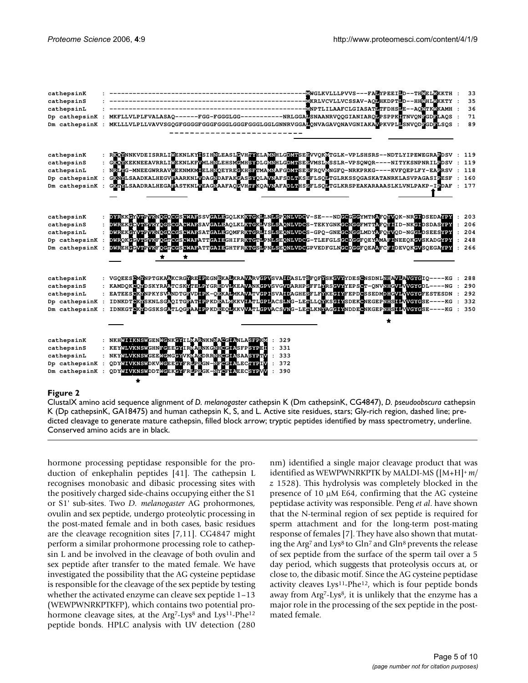| cathepsinK<br>cathepsinS<br>cathepsinL<br>Dp cathepsinK<br>Dm cathepsinK   | -MWGLKVLLLPVVS---FALYPEEILD--THMELMKKTH<br>-MKRLVCVLLVCSSAV-AQMHKDPTLD--HHMHLMKKTY<br>--- ENPTLILAAF CLGIASATE TFDHSEE -- AQMTKMKAMH<br>MKFLLVLPLFVALASAQ------FGG-FGGGLGG-----------NRLGGALSNAANRVQQGIANIARQLPSPPKLTNVQNEGDELAQS<br>MKLLLVLPLLVAVVSGQGFGGGGFGGGFGGGLGGGFGGGLGGLGNNRVGGALQNVAGAVQNAVGNIAKAVPKVPLLSNVQDEGDELSQS                                                                                                                                                                                                  | 33<br>35<br>36<br>71<br>89      |
|----------------------------------------------------------------------------|---------------------------------------------------------------------------------------------------------------------------------------------------------------------------------------------------------------------------------------------------------------------------------------------------------------------------------------------------------------------------------------------------------------------------------------------------------------------------------------------------------------------------------|---------------------------------|
| cathepsinK<br>cathepsinS<br>cathepsinL<br>Dp cathepsinK<br>Dm cathepsinK   | RKOMNNKVDEISRRLIMEKNLKYNSIHNLEASLGVHAVELAVNHLGDVHSEEVVOKVTGLK-VPLSHSRS--NDTLYIPEWEGRAPDSV<br>GKONKEKNEEAVRRLIMEKNLKFWMLHNLEHSMCMHSYDLGWNHLGDVWSEEVMSLWSSLR-VPSQWQR----NITYKSNPNRILGDSV<br>NRLNG-MNEEGWRRAVMEKNMKMUELHNOEYREGKHSETMAMNAFGDYHSEEFROVMNGFO-NRKPRKG----KVFOEPLFY-EAPRSV<br>GKNMLSAADKALHEGVEAARKNLVDAGNDAFAKGASSYQLAVNAFSDLWKSEFLSQLTGLRKSSQGASKATANRKLASVPAGASIPESF<br>GKTYLSAADRALHEGABASTKNLVEAGNAAFAQGVHHBKQAVNAFADLTHSBFLSQLTGLKRSPEAKARAAASLKLVNLPAKP-IBDAF                                                   | 119<br>119<br>118<br>160<br>177 |
| cathepsinK<br>cathepsinS<br>cathepsinL<br>Dp cathepsinK<br>Dm cathepsinK   | DYRKKEYVTPVKNOGOCGSGVAFSSVGALEGOLKKKKEKELNESPONLVDCV-SE---NDGCGGGYMTNAFQYVQK-NRGLDSEDAYFY<br>DWREKGCVTEVKFOGTGGSCWAFATTGATEGHTFRKTGFLPNLSEONLVDGGPVEDFCLNGCDGGFCEAPFCFIDEVOKGVSOEGAYPY<br>DWREKGYVTPVKNOGOGGSCWAFSATGALEGOMFRKTGRLISLSEONLVDGS-GPQ-GNEGCNGGLMDYAFOYVQD-NGGLDSEESYPY<br>DWROKGGVTSVKFOGTGGSCWAFATTGATEGHTFRKTGTLPN                                                                                                                                                                                               | 203<br>206<br>204<br>248<br>266 |
| cathepsinK<br>cathepsinS<br>cathepsinL<br>Dp cathepsinK<br>Dm cathepsinK   | : VGOEESCM <mark>N</mark> NPTGKAAKCRG <mark>VREIP</mark> EGNEKALKRAVARVGPVSVAIDASLTSFOFYSKGVYYDESCNSDNLNHAVPAVGYGIO----KG : 288<br>KAMDOKCOYDSKYRAATCSKYTELPYGREDVEKEAVANKGPVSVGVDARHPSFFLYRSGVYYEPSCT-ONVNHGVLVVGYGDL----NG :<br>EATEESCKYNPKYSVANDTGEVDERK-OEKAEMKAVATVGPISVAIDAGHESFLFYKEGIYFEPDCSSEDMDHGVLVVGYGFESTESDN : 292<br>IDNKDTCKNSKNLSGROITGEATLPPKDEALWKKVLATLGPLACSLNG-LEHLLOKKSGLYSDEKCNEGEPNHSILVVGYGSE----KG :<br>IDNKGTCKYDGSKSGATLQGFAALPPKDEEQLKKVVATLGPVACSVNG-LETLKNYAGGIYNDDECNKGEPNHSLIVVGYGSE----KG : | 290<br>332<br>350               |
| cathepsinK<br>cathepsinS<br>cathepsinL<br>Dp cathepsinK<br>Dm cathepsinK : | NKH <mark>WIIKNSWGENWGNKGYILWARNKNNAGGLA</mark> NLASFPKW<br>KEYWLVKNSWGHNFGEEGYIRWARNKGNHGGLASFPSYPEI<br>NKYWLVKNSWGEEWGMGGYVKWAKDRRNHGGLASAASYPTV<br>QDYWIVKNSWDKVWGEEGYFR <mark>L</mark> PRGN-NFGGLALECTYPTV<br>329<br>331<br>333<br>$\cdot$ :<br>372<br>$\cdot$<br>QDYWIVKNSWDDTWGEKGYFRUPRGK-NYCFILLEECSYPVV<br>390                                                                                                                                                                                                         |                                 |

#### K (Dp cathepsinK, GA18475) and human cathepsin K, S, and L **Figure 2** ClustalX amino acid sequence alignment of *D. melanogaster* cathepsin K (Dm cathepsinK, CG4847), *D. pseudoobscura* cathepsin

ClustalX amino acid sequence alignment of *D. melanogaster* cathepsin K (Dm cathepsinK, CG4847), *D. pseudoobscura* cathepsin K (Dp cathepsinK, GA18475) and human cathepsin K, S, and L. Active site residues, stars; Gly-rich region, dashed line; predicted cleavage to generate mature cathepsin, filled block arrow; tryptic peptides identified by mass spectrometry, underline. Conserved amino acids are in black.

hormone processing peptidase responsible for the production of enkephalin peptides [41]. The cathepsin L recognises monobasic and dibasic processing sites with the positively charged side-chains occupying either the S1 or S1' sub-sites. Two *D. melanogaster* AG prohormones, ovulin and sex peptide, undergo proteolytic processing in the post-mated female and in both cases, basic residues are the cleavage recognition sites [7,11]. CG4847 might perform a similar prohormone processing role to cathepsin L and be involved in the cleavage of both ovulin and sex peptide after transfer to the mated female. We have investigated the possibility that the AG cysteine peptidase is responsible for the cleavage of the sex peptide by testing whether the activated enzyme can cleave sex peptide 1–13 (WEWPWNRKPTKFP), which contains two potential prohormone cleavage sites, at the Arg<sup>7</sup>-Lys<sup>8</sup> and Lys<sup>11</sup>-Phe<sup>12</sup> peptide bonds. HPLC analysis with UV detection (280 nm) identified a single major cleavage product that was identified as WEWPWNRKPTK by MALDI-MS ([M+H]+ *m/ z* 1528). This hydrolysis was completely blocked in the presence of 10 µM E64, confirming that the AG cysteine peptidase activity was responsible. Peng *et al*. have shown that the N-terminal region of sex peptide is required for sperm attachment and for the long-term post-mating response of females [7]. They have also shown that mutating the Arg<sup>7</sup> and Lys<sup>8</sup> to Gln<sup>7</sup> and Gln<sup>8</sup> prevents the release of sex peptide from the surface of the sperm tail over a 5 day period, which suggests that proteolysis occurs at, or close to, the dibasic motif. Since the AG cysteine peptidase activity cleaves Lys11-Phe12, which is four peptide bonds away from Arg<sup>7</sup>-Lys<sup>8</sup>, it is unlikely that the enzyme has a major role in the processing of the sex peptide in the postmated female.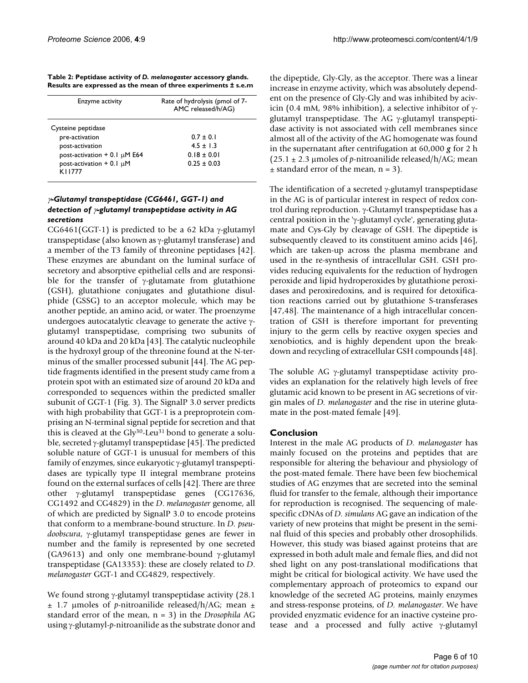| Table 2: Peptidase activity of D. melanogaster accessory glands. |                                                                |
|------------------------------------------------------------------|----------------------------------------------------------------|
|                                                                  | Results are expressed as the mean of three experiments ± s.e.m |

| Enzyme activity                           | Rate of hydrolysis (pmol of 7-<br>AMC released/h/AG) |  |  |
|-------------------------------------------|------------------------------------------------------|--|--|
| Cysteine peptidase                        |                                                      |  |  |
| pre-activation                            | $0.7 \pm 0.1$                                        |  |  |
| post-activation                           | $4.5 + 1.3$                                          |  |  |
| post-activation $+$ 0.1 µM E64            | $0.18 \pm 0.01$                                      |  |  |
| post-activation $+$ 0.1 $\mu$ M<br>K11777 | $0.25 \pm 0.03$                                      |  |  |

## <sup>γ</sup>*-Glutamyl transpeptidase (CG6461, GGT-1) and detection of* γ*-glutamyl transpeptidase activity in AG secretions*

CG6461(GGT-1) is predicted to be a 62 kDa  $\gamma$ -glutamyl transpeptidase (also known as γ-glutamyl transferase) and a member of the T3 family of threonine peptidases [42]. These enzymes are abundant on the luminal surface of secretory and absorptive epithelial cells and are responsible for the transfer of  $\gamma$ -glutamate from glutathione (GSH), glutathione conjugates and glutathione disulphide (GSSG) to an acceptor molecule, which may be another peptide, an amino acid, or water. The proenzyme undergoes autocatalytic cleavage to generate the active γglutamyl transpeptidase, comprising two subunits of around 40 kDa and 20 kDa [43]. The catalytic nucleophile is the hydroxyl group of the threonine found at the N-terminus of the smaller processed subunit [44]. The AG peptide fragments identified in the present study came from a protein spot with an estimated size of around 20 kDa and corresponded to sequences within the predicted smaller subunit of GGT-1 (Fig. 3). The SignalP 3.0 server predicts with high probability that GGT-1 is a preproprotein comprising an N-terminal signal peptide for secretion and that this is cleaved at the Gly30-Leu31 bond to generate a soluble, secreted γ-glutamyl transpeptidase [45]. The predicted soluble nature of GGT-1 is unusual for members of this family of enzymes, since eukaryotic γ-glutamyl transpeptidases are typically type II integral membrane proteins found on the external surfaces of cells [42]. There are three other γ-glutamyl transpeptidase genes (CG17636, CG1492 and CG4829) in the *D*. *melanogaster* genome, all of which are predicted by SignalP 3.0 to encode proteins that conform to a membrane-bound structure. In *D. pseudoobscura*, γ-glutamyl transpeptidase genes are fewer in number and the family is represented by one secreted (GA9613) and only one membrane-bound γ-glutamyl transpeptidase (GA13353): these are closely related to *D*. *melanogaster* GGT-1 and CG4829, respectively.

We found strong γ-glutamyl transpeptidase activity (28.1  $\pm$  1.7 µmoles of p-nitroanilide released/h/AG; mean  $\pm$ standard error of the mean, n = 3) in the *Drosophila* AG using γ-glutamyl-*p*-nitroanilide as the substrate donor and the dipeptide, Gly-Gly, as the acceptor. There was a linear increase in enzyme activity, which was absolutely dependent on the presence of Gly-Gly and was inhibited by acivicin (0.4 mM, 98% inhibition), a selective inhibitor of  $γ$ glutamyl transpeptidase. The AG γ-glutamyl transpeptidase activity is not associated with cell membranes since almost all of the activity of the AG homogenate was found in the supernatant after centrifugation at 60,000 *g* for 2 h  $(25.1 \pm 2.3 \mu$  moles of *p*-nitroanilide released/h/AG; mean  $\pm$  standard error of the mean, n = 3).

The identification of a secreted γ-glutamyl transpeptidase in the AG is of particular interest in respect of redox control during reproduction. γ-Glutamyl transpeptidase has a central position in the 'γ-glutamyl cycle', generating glutamate and Cys-Gly by cleavage of GSH. The dipeptide is subsequently cleaved to its constituent amino acids [46], which are taken-up across the plasma membrane and used in the re-synthesis of intracellular GSH. GSH provides reducing equivalents for the reduction of hydrogen peroxide and lipid hydroperoxides by glutathione peroxidases and peroxiredoxins, and is required for detoxification reactions carried out by glutathione S-transferases [47,48]. The maintenance of a high intracellular concentration of GSH is therefore important for preventing injury to the germ cells by reactive oxygen species and xenobiotics, and is highly dependent upon the breakdown and recycling of extracellular GSH compounds [48].

The soluble AG γ-glutamyl transpeptidase activity provides an explanation for the relatively high levels of free glutamic acid known to be present in AG secretions of virgin males of *D. melanogaster* and the rise in uterine glutamate in the post-mated female [49].

## **Conclusion**

Interest in the male AG products of *D. melanogaster* has mainly focused on the proteins and peptides that are responsible for altering the behaviour and physiology of the post-mated female. There have been few biochemical studies of AG enzymes that are secreted into the seminal fluid for transfer to the female, although their importance for reproduction is recognised. The sequencing of malespecific cDNAs of *D. simulans* AG gave an indication of the variety of new proteins that might be present in the seminal fluid of this species and probably other drosophilids. However, this study was biased against proteins that are expressed in both adult male and female flies, and did not shed light on any post-translational modifications that might be critical for biological activity. We have used the complementary approach of proteomics to expand our knowledge of the secreted AG proteins, mainly enzymes and stress-response proteins, of *D. melanogaster*. We have provided enyzmatic evidence for an inactive cysteine protease and a processed and fully active γ-glutamyl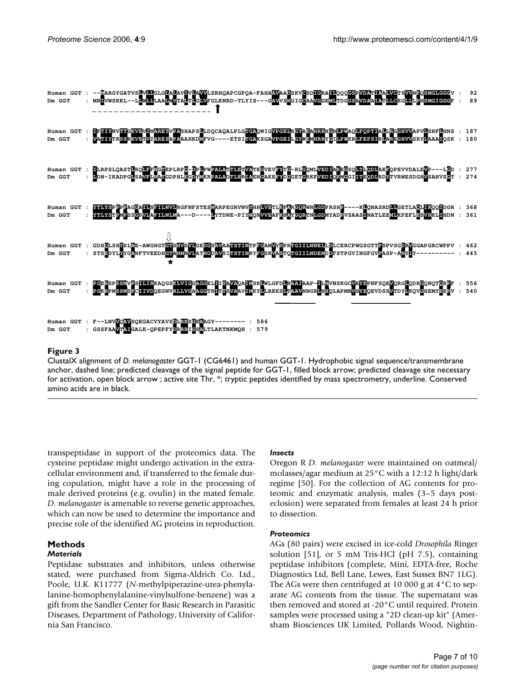

#### Figure 3

ClustalX alignment of *D. melanogaster* GGT-1 (CG6461) and human GGT-1. Hydrophobic signal sequence/transmembrane anchor, dashed line; predicted cleavage of the signal peptide for GGT-1, filled block arrow; predicted cleavage site necessary for activation, open block arrow ; active site Thr, \*; tryptic peptides identified by mass spectrometry, underline. Conserved amino acids are in black.

transpeptidase in support of the proteomics data. The cysteine peptidase might undergo activation in the extracellular environment and, if transferred to the female during copulation, might have a role in the processing of male derived proteins (e.g. ovulin) in the mated female. *D. melanogaster* is amenable to reverse genetic approaches, which can now be used to determine the importance and precise role of the identified AG proteins in reproduction.

## **Methods**

#### *Materials*

Peptidase substrates and inhibitors, unless otherwise stated, were purchased from Sigma-Aldrich Co. Ltd., Poole, U.K. K11777 (*N*-methylpiperazine-urea-phenylalanine-homophenylalanine-vinylsulfone-benzene) was a gift from the Sandler Center for Basic Research in Parasitic Diseases, Department of Pathology, University of California San Francisco.

#### *Insects*

Oregon R *D. melanogaster* were maintained on oatmeal/ molasses/agar medium at 25°C with a 12:12 h light/dark regime [50]. For the collection of AG contents for proteomic and enzymatic analysis, males (3–5 days posteclosion) were separated from females at least 24 h prior to dissection.

#### *Proteomics*

AGs (80 pairs) were excised in ice-cold *Drosophila* Ringer solution [51], or 5 mM Tris-HCl (pH 7.5), containing peptidase inhibitors (complete, Mini, EDTA-free, Roche Diagnostics Ltd, Bell Lane, Lewes, East Sussex BN7 1LG). The AGs were then centrifuged at 10 000 g at 4°C to separate AG contents from the tissue. The supernatant was then removed and stored at -20°C until required. Protein samples were processed using a "2D clean-up kit" (Amersham Biosciences UK Limited, Pollards Wood, Nightin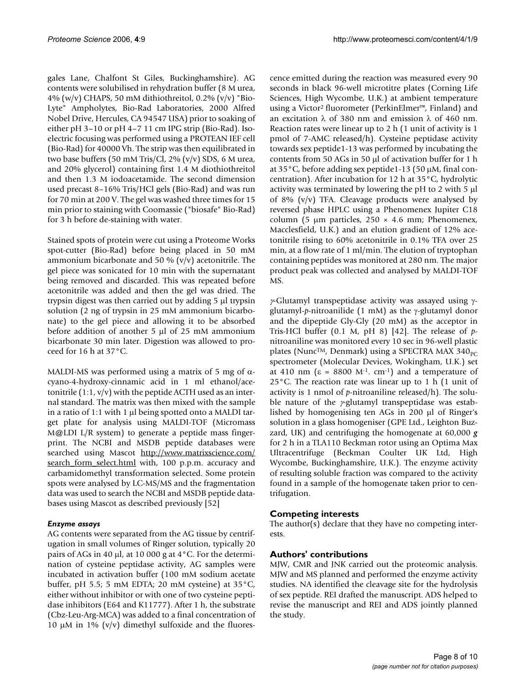gales Lane, Chalfont St Giles, Buckinghamshire). AG contents were solubilised in rehydration buffer (8 M urea, 4% (w/v) CHAPS, 50 mM dithiothreitol, 0.2% (v/v) "Bio-Lyte" Ampholytes, Bio-Rad Laboratories, 2000 Alfred Nobel Drive, Hercules, CA 94547 USA) prior to soaking of either pH 3–10 or pH 4–7 11 cm IPG strip (Bio-Rad). Isoelectric focusing was performed using a PROTEAN IEF cell (Bio-Rad) for 40000 Vh. The strip was then equilibrated in two base buffers (50 mM Tris/Cl, 2% (v/v) SDS, 6 M urea, and 20% glycerol) containing first 1.4 M diothiothreitol and then 1.3 M iodoacetamide. The second dimension used precast 8–16% Tris/HCl gels (Bio-Rad) and was run for 70 min at 200 V. The gel was washed three times for 15 min prior to staining with Coomassie ("biosafe" Bio-Rad) for 3 h before de-staining with water.

Stained spots of protein were cut using a Proteome Works spot-cutter (Bio-Rad) before being placed in 50 mM ammonium bicarbonate and 50 % ( $v/v$ ) acetonitrile. The gel piece was sonicated for 10 min with the supernatant being removed and discarded. This was repeated before acetonitrile was added and then the gel was dried. The trypsin digest was then carried out by adding 5 µl trypsin solution (2 ng of trypsin in 25 mM ammonium bicarbonate) to the gel piece and allowing it to be absorbed before addition of another 5  $\mu$ l of 25 mM ammonium bicarbonate 30 min later. Digestion was allowed to proceed for 16 h at 37°C.

MALDI-MS was performed using a matrix of 5 mg of  $\alpha$ cyano-4-hydroxy-cinnamic acid in 1 ml ethanol/acetonitrile  $(1:1, v/v)$  with the peptide ACTH used as an internal standard. The matrix was then mixed with the sample in a ratio of 1:1 with 1  $\mu$ l being spotted onto a MALDI target plate for analysis using MALDI-TOF (Micromass M@LDI L/R system) to generate a peptide mass fingerprint. The NCBI and MSDB peptide databases were searched using Mascot [http://www.matrixscience.com/](http://www.matrixscience.com/search_form_select.html) search form select.html with, 100 p.p.m. accuracy and carbamidomethyl transformation selected. Some protein spots were analysed by LC-MS/MS and the fragmentation data was used to search the NCBI and MSDB peptide databases using Mascot as described previously [52]

## *Enzyme assays*

AG contents were separated from the AG tissue by centrifugation in small volumes of Ringer solution, typically 20 pairs of AGs in 40 µl, at 10 000 g at 4°C. For the determination of cysteine peptidase activity, AG samples were incubated in activation buffer (100 mM sodium acetate buffer, pH 5.5; 5 mM EDTA; 20 mM cysteine) at 35°C, either without inhibitor or with one of two cysteine peptidase inhibitors (E64 and K11777). After 1 h, the substrate (Cbz-Leu-Arg-MCA) was added to a final concentration of 10  $\mu$ M in 1% (v/v) dimethyl sulfoxide and the fluorescence emitted during the reaction was measured every 90 seconds in black 96-well microtitre plates (Corning Life Sciences, High Wycombe, U.K.) at ambient temperature using a Victor2 fluorometer (PerkinElmer™, Finland) and an excitation λ of 380 nm and emission λ of 460 nm. Reaction rates were linear up to 2 h (1 unit of activity is 1 pmol of 7-AMC released/h). Cysteine peptidase activity towards sex peptide1-13 was performed by incubating the contents from 50 AGs in 50 µl of activation buffer for 1 h at 35°C, before adding sex peptide1-13 (50 µM, final concentration). After incubation for 12 h at 35°C, hydrolytic activity was terminated by lowering the pH to 2 with 5 µl of 8% (v/v) TFA. Cleavage products were analysed by reversed phase HPLC using a Phenomenex Jupiter C18 column (5  $\mu$ m particles, 250  $\times$  4.6 mm; Phenomenex, Macclesfield, U.K.) and an elution gradient of 12% acetonitrile rising to 60% acetonitrile in 0.1% TFA over 25 min, at a flow rate of 1 ml/min. The elution of tryptophan containing peptides was monitored at 280 nm. The major product peak was collected and analysed by MALDI-TOF MS.

γ*-*Glutamyl transpeptidase activity was assayed using γglutamyl-*p*-nitroanilide (1 mM) as the γ-glutamyl donor and the dipeptide Gly-Gly (20 mM) as the acceptor in Tris-HCl buffer (0.1 M, pH 8) [42]. The release of *p*nitroaniline was monitored every 10 sec in 96-well plastic plates (Nunc<sup>TM</sup>, Denmark) using a SPECTRA MAX  $340_{pc}$ spectrometer (Molecular Devices, Wokingham, U.K.) set at 410 nm (ε = 8800 M<sup>-1</sup>. cm<sup>-1</sup>) and a temperature of 25°C. The reaction rate was linear up to 1 h (1 unit of activity is 1 nmol of *p*-nitroaniline released/h). The soluble nature of the γ*-*glutamyl transpeptidase was established by homogenising ten AGs in 200 µl of Ringer's solution in a glass homogeniser (GPE Ltd., Leighton Buzzard, UK) and centrifuging the homogenate at 60,000 *g* for 2 h in a TLA110 Beckman rotor using an Optima Max Ultracentrifuge (Beckman Coulter UK Ltd, High Wycombe, Buckinghamshire, U.K.). The enzyme activity of resulting soluble fraction was compared to the activity found in a sample of the homogenate taken prior to centrifugation.

# **Competing interests**

The author(s) declare that they have no competing interests.

# **Authors' contributions**

MJW, CMR and JNK carried out the proteomic analysis. MJW and MS planned and performed the enzyme activity studies. NA identified the cleavage site for the hydrolysis of sex peptide. REI drafted the manuscript. ADS helped to revise the manuscript and REI and ADS jointly planned the study.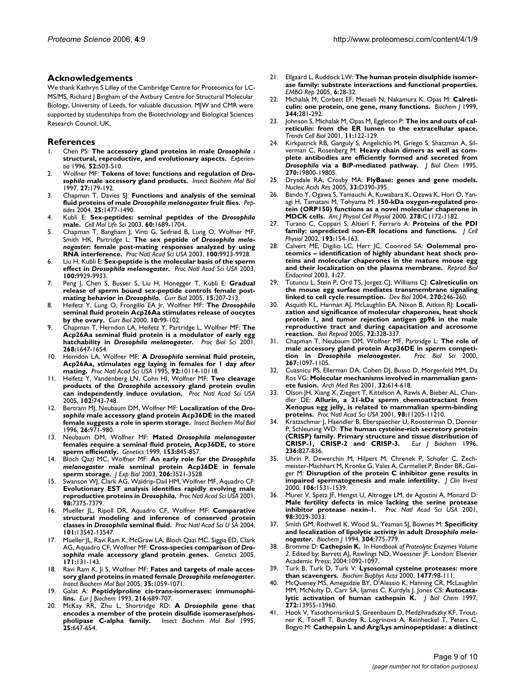#### **Acknowledgements**

We thank Kathryn S Lilley of the Cambridge Centre for Proteomics for LC-MS/MS, Richard J Bingham of the Astbury Centre for Structural Molecular Biology, University of Leeds, for valuable discussion. MJW and CMR were supported by studentships from the Biotechnology and Biological Sciences Research Council, UK.

#### **References**

- 1. Chen PS: **The accessory gland proteins in male** *Drosophila* **[:](http://www.ncbi.nlm.nih.gov/entrez/query.fcgi?cmd=Retrieve&db=PubMed&dopt=Abstract&list_uids=8698082) [structural, reproductive, and evolutionary aspects.](http://www.ncbi.nlm.nih.gov/entrez/query.fcgi?cmd=Retrieve&db=PubMed&dopt=Abstract&list_uids=8698082)** *Experientia* 1996, **52:**503-510.
- 2. Wolfner MF: **Tokens of love: functions and regulation of** *Drosophila* **[male accessory gland products.](http://www.ncbi.nlm.nih.gov/entrez/query.fcgi?cmd=Retrieve&db=PubMed&dopt=Abstract&list_uids=9090115)** *Insect Biochem Mol Biol* 1997, **27:**179-192.
- 3. Chapman T, Davies SJ: **Functions and analysis of the seminal fluid proteins of male** *Drosophila melanogaster* **[fruit flies.](http://www.ncbi.nlm.nih.gov/entrez/query.fcgi?cmd=Retrieve&db=PubMed&dopt=Abstract&list_uids=15374649)** *Peptides* 2004, **25:**1477-1490.
- 4. Kubli E: **Sex-peptides: seminal peptides of the** *Drosophila* **[male.](http://www.ncbi.nlm.nih.gov/entrez/query.fcgi?cmd=Retrieve&db=PubMed&dopt=Abstract&list_uids=14504657)** *Cell Mol Life Sci* 2003, **60:**1689-1704.
- 5. Chapman T, Bangham J, Vinti G, Seifried B, Lung O, Wolfner MF, Smith HK, Partridge L: **The sex peptide of** *Drosophila melanogaster***[: female post-mating responses analyzed by using](http://www.ncbi.nlm.nih.gov/entrez/query.fcgi?cmd=Retrieve&db=PubMed&dopt=Abstract&list_uids=12893873) [RNA interference.](http://www.ncbi.nlm.nih.gov/entrez/query.fcgi?cmd=Retrieve&db=PubMed&dopt=Abstract&list_uids=12893873)** *Proc Natl Acad Sci USA* 2003, **100:**9923-9928.
- 6. Liu H, Kubli E: **Sex-peptide is the molecular basis of the sperm effect in** *Drosophila melanogaster***[.](http://www.ncbi.nlm.nih.gov/entrez/query.fcgi?cmd=Retrieve&db=PubMed&dopt=Abstract&list_uids=12897240)** *Proc Natl Acad Sci USA* 2003, **100:**9929-9933.
- 7. Peng J, Chen S, Busser S, Liu H, Honegger T, Kubli E: **Gradual release of sperm bound sex-peptide controls female postmating behavior in** *Drosophila***[.](http://www.ncbi.nlm.nih.gov/entrez/query.fcgi?cmd=Retrieve&db=PubMed&dopt=Abstract&list_uids=15694303)** *Curr Biol* 2005, **15:**207-213.
- 8. Heifetz Y, Lung O, Frongillo EA Jr, Wolfner MF: **The** *Drosophila* **[seminal fluid protein Acp26Aa stimulates release of oocytes](http://www.ncbi.nlm.nih.gov/entrez/query.fcgi?cmd=Retrieve&db=PubMed&dopt=Abstract&list_uids=10662669) [by the ovary.](http://www.ncbi.nlm.nih.gov/entrez/query.fcgi?cmd=Retrieve&db=PubMed&dopt=Abstract&list_uids=10662669)** *Curr Biol* 2000, **10:**99-102.
- 9. Chapman T, Herndon LA, Heifetz Y, Partridge L, Wolfner MF: **The Acp26Aa seminal fluid protein is a modulator of early egg hatchability in** *Drosophila melanogaster***[.](http://www.ncbi.nlm.nih.gov/entrez/query.fcgi?cmd=Retrieve&db=PubMed&dopt=Abstract&list_uids=11506676)** *Proc Biol Sci* 2001, **268:**1647-1654.
- 10. Herndon LA, Wolfner MF: **A** *Drosophila* **[seminal fluid protein,](http://www.ncbi.nlm.nih.gov/entrez/query.fcgi?cmd=Retrieve&db=PubMed&dopt=Abstract&list_uids=7479736) [Acp26Aa, stimulates egg laying in females for 1 day after](http://www.ncbi.nlm.nih.gov/entrez/query.fcgi?cmd=Retrieve&db=PubMed&dopt=Abstract&list_uids=7479736) [mating.](http://www.ncbi.nlm.nih.gov/entrez/query.fcgi?cmd=Retrieve&db=PubMed&dopt=Abstract&list_uids=7479736)** *Proc Natl Acad Sci USA* 1995, **92:**10114-10118.
- 11. Heifetz Y, Vandenberg LN, Cohn HI, Wolfner MF: **Two cleavage products of the** *Drosophila* **[accessory gland protein ovulin](http://www.ncbi.nlm.nih.gov/entrez/query.fcgi?cmd=Retrieve&db=PubMed&dopt=Abstract&list_uids=15640356) [can independently induce ovulation.](http://www.ncbi.nlm.nih.gov/entrez/query.fcgi?cmd=Retrieve&db=PubMed&dopt=Abstract&list_uids=15640356)** *Proc Natl Acad Sci USA* 2005, **102:**743-748.
- 12. Bertram MJ, Neubaum DM, Wolfner MF: **Localization of the** *Drosophila* **[male accessory gland protein Acp36DE in the mated](http://www.ncbi.nlm.nih.gov/entrez/query.fcgi?cmd=Retrieve&db=PubMed&dopt=Abstract&list_uids=9014340) [female suggests a role in sperm storage.](http://www.ncbi.nlm.nih.gov/entrez/query.fcgi?cmd=Retrieve&db=PubMed&dopt=Abstract&list_uids=9014340)** *Insect Biochem Mol Biol* 1996, **26:**971-980.
- 13. Neubaum DM, Wolfner MF: **Mated** *Drosophila melanogaster* **[females require a seminal fluid protein, Acp36DE, to store](http://www.ncbi.nlm.nih.gov/entrez/query.fcgi?cmd=Retrieve&db=PubMed&dopt=Abstract&list_uids=10511562) [sperm efficiently.](http://www.ncbi.nlm.nih.gov/entrez/query.fcgi?cmd=Retrieve&db=PubMed&dopt=Abstract&list_uids=10511562)** *Genetics* 1999, **153:**845-857.
- 14. Bloch Qazi MC, Wolfner MF: **An early role for the** *Drosophila melanogaster* **[male seminal protein Acp36DE in female](http://www.ncbi.nlm.nih.gov/entrez/query.fcgi?cmd=Retrieve&db=PubMed&dopt=Abstract&list_uids=12939382) [sperm storage.](http://www.ncbi.nlm.nih.gov/entrez/query.fcgi?cmd=Retrieve&db=PubMed&dopt=Abstract&list_uids=12939382)** *J Exp Biol* 2003, **206:**3521-3528.
- Swanson WJ, Clark AG, Waldrip-Dail HM, Wolfner MF, Aquadro CF: **Evolutionary EST analysis identifies rapidly evolving male reproductive proteins in** *Drosophila***[.](http://www.ncbi.nlm.nih.gov/entrez/query.fcgi?cmd=Retrieve&db=PubMed&dopt=Abstract&list_uids=11404480)** *Proc Natl Acad Sci USA* 2001, **98:**7375-7379.
- 16. Mueller JL, Ripoll DR, Aquadro CF, Wolfner MF: **Comparative structural modeling and inference of conserved protein classes in** *Drosophila* **seminal fluid.** *Proc Natl Acad Sci U SA* 2004, **101:**13542-13547.
- 17. Mueller JL, Ravi Ram K, McGraw LA, Bloch Qazi MC, Siggia ED, Clark AG, Aquadro CF, Wolfner MF: **Cross-species comparison of** *Drosophila* **[male accessory gland protein genes.](http://www.ncbi.nlm.nih.gov/entrez/query.fcgi?cmd=Retrieve&db=PubMed&dopt=Abstract&list_uids=15944345)** *Genetics* 2005, **171:**131-143.
- 18. Ravi Ram K, Ji S, Wolfner MF: **Fates and targets of male accessory gland proteins in mated female** *Drosophila melanogaster***[.](http://www.ncbi.nlm.nih.gov/entrez/query.fcgi?cmd=Retrieve&db=PubMed&dopt=Abstract&list_uids=15979005)** *Insect Biochem Mol Biol* 2005, **35:**1059-1071.
- Galat A: [Peptidylproline cis-trans-isomerases: immunophi](http://www.ncbi.nlm.nih.gov/entrez/query.fcgi?cmd=Retrieve&db=PubMed&dopt=Abstract&list_uids=8404888)**[lins.](http://www.ncbi.nlm.nih.gov/entrez/query.fcgi?cmd=Retrieve&db=PubMed&dopt=Abstract&list_uids=8404888)** *Eur J Biochem* 1993, **216:**689-707.
- 20. McKay RR, Zhu L, Shortridge RD: **A** *Drosophila* **[gene that](http://www.ncbi.nlm.nih.gov/entrez/query.fcgi?cmd=Retrieve&db=PubMed&dopt=Abstract&list_uids=7787847) [encodes a member of the protein disulfide isomerase/phos](http://www.ncbi.nlm.nih.gov/entrez/query.fcgi?cmd=Retrieve&db=PubMed&dopt=Abstract&list_uids=7787847)[pholipase C-alpha family.](http://www.ncbi.nlm.nih.gov/entrez/query.fcgi?cmd=Retrieve&db=PubMed&dopt=Abstract&list_uids=7787847)** *Insect Biochem Mol Biol* 1995, **25:**647-654.
- 21. Ellgaard L, Ruddock LW: **[The human protein disulphide isomer](http://www.ncbi.nlm.nih.gov/entrez/query.fcgi?cmd=Retrieve&db=PubMed&dopt=Abstract&list_uids=15643448)[ase family: substrate interactions and functional properties.](http://www.ncbi.nlm.nih.gov/entrez/query.fcgi?cmd=Retrieve&db=PubMed&dopt=Abstract&list_uids=15643448)** *EMBO Rep* 2005, **6:**28-32.
- 22. Michalak M, Corbett EF, Mesaeli N, Nakamura K, Opas M: **[Calreti](http://www.ncbi.nlm.nih.gov/entrez/query.fcgi?cmd=Retrieve&db=PubMed&dopt=Abstract&list_uids=10567207)[culin: one protein, one gene, many functions.](http://www.ncbi.nlm.nih.gov/entrez/query.fcgi?cmd=Retrieve&db=PubMed&dopt=Abstract&list_uids=10567207)** *Biochem J* 1999, **344:**281-292.
- 23. Johnson S, Michalak M, Opas M, Eggleton P: **[The ins and outs of cal](http://www.ncbi.nlm.nih.gov/entrez/query.fcgi?cmd=Retrieve&db=PubMed&dopt=Abstract&list_uids=11306273)[reticulin: from the ER lumen to the extracellular space.](http://www.ncbi.nlm.nih.gov/entrez/query.fcgi?cmd=Retrieve&db=PubMed&dopt=Abstract&list_uids=11306273)** *Trends Cell Biol* 2001, **11:**122-129.
- 24. Kirkpatrick RB, Ganguly S, Angelichio M, Griego S, Shatzman A, Silverman C, Rosenberg M: **Heavy chain dimers as well as complete antibodies are efficiently formed and secreted from** *Drosophila* **[via a BiP-mediated pathway.](http://www.ncbi.nlm.nih.gov/entrez/query.fcgi?cmd=Retrieve&db=PubMed&dopt=Abstract&list_uids=7649989)** *J Biol Chem* 1995, **270:**19800-19805.
- 25. Drysdale RA, Crosby MA: **[FlyBase: genes and gene models.](http://www.ncbi.nlm.nih.gov/entrez/query.fcgi?cmd=Retrieve&db=PubMed&dopt=Abstract&list_uids=15608223)** *Nucleic Acids Res* 2005, **33:**D390-395.
- 26. Bando Y, Ogawa S, Yamauchi A, Kuwabara K, Ozawa K, Hori O, Yanagi H, Tamatani M, Tohyama M: **[150-kDa oxygen-regulated pro](http://www.ncbi.nlm.nih.gov/entrez/query.fcgi?cmd=Retrieve&db=PubMed&dopt=Abstract&list_uids=10837345)[tein \(ORP150\) functions as a novel molecular chaperone in](http://www.ncbi.nlm.nih.gov/entrez/query.fcgi?cmd=Retrieve&db=PubMed&dopt=Abstract&list_uids=10837345) [MDCK cells.](http://www.ncbi.nlm.nih.gov/entrez/query.fcgi?cmd=Retrieve&db=PubMed&dopt=Abstract&list_uids=10837345)** *Am J Physiol Cell Physiol* 2000, **278:**C1172-1182.
- 27. Turano C, Coppari S, Altieri F, Ferraro A: **[Proteins of the PDI](http://www.ncbi.nlm.nih.gov/entrez/query.fcgi?cmd=Retrieve&db=PubMed&dopt=Abstract&list_uids=12384992) [family: unpredicted non-ER locations and functions.](http://www.ncbi.nlm.nih.gov/entrez/query.fcgi?cmd=Retrieve&db=PubMed&dopt=Abstract&list_uids=12384992)** *J Cell Physiol* 2002, **193:**154-163.
- 28. Calvert ME, Digilio LC, Herr JC, Coonrod SA: **[Oolemmal pro](http://www.ncbi.nlm.nih.gov/entrez/query.fcgi?cmd=Retrieve&db=PubMed&dopt=Abstract&list_uids=12646049)teomics – identification of highly abundant heat shock pro[teins and molecular chaperones in the mature mouse egg](http://www.ncbi.nlm.nih.gov/entrez/query.fcgi?cmd=Retrieve&db=PubMed&dopt=Abstract&list_uids=12646049) [and their localization on the plasma membrane.](http://www.ncbi.nlm.nih.gov/entrez/query.fcgi?cmd=Retrieve&db=PubMed&dopt=Abstract&list_uids=12646049)** *Reprod Biol Endocrinol* 2003, **1:**27.
- 29. Tutuncu L, Stein P, Ord TS, Jorgez CJ, Williams CJ: **[Calreticulin on](http://www.ncbi.nlm.nih.gov/entrez/query.fcgi?cmd=Retrieve&db=PubMed&dopt=Abstract&list_uids=15136153) [the mouse egg surface mediates transmembrane signaling](http://www.ncbi.nlm.nih.gov/entrez/query.fcgi?cmd=Retrieve&db=PubMed&dopt=Abstract&list_uids=15136153) [linked to cell cycle resumption.](http://www.ncbi.nlm.nih.gov/entrez/query.fcgi?cmd=Retrieve&db=PubMed&dopt=Abstract&list_uids=15136153)** *Dev Biol* 2004, **270:**246-260.
- 30. Asquith KL, Harman AJ, McLaughlin EA, Nixon B, Aitken RJ: **[Locali](http://www.ncbi.nlm.nih.gov/entrez/query.fcgi?cmd=Retrieve&db=PubMed&dopt=Abstract&list_uids=15456702)zation and significance of molecular chaperones, heat shock protein 1, and tumor rejection antigen gp96 in the male [reproductive tract and during capacitation and acrosome](http://www.ncbi.nlm.nih.gov/entrez/query.fcgi?cmd=Retrieve&db=PubMed&dopt=Abstract&list_uids=15456702) [reaction.](http://www.ncbi.nlm.nih.gov/entrez/query.fcgi?cmd=Retrieve&db=PubMed&dopt=Abstract&list_uids=15456702)** *Biol Reprod* 2005, **72:**328-337.
- 31. Chapman T, Neubaum DM, Wolfner MF, Partridge L: **The role of male accessory gland protein Acp36DE in sperm competition in** *Drosophila melanogaster***[.](http://www.ncbi.nlm.nih.gov/entrez/query.fcgi?cmd=Retrieve&db=PubMed&dopt=Abstract&list_uids=10885514)** *Proc Biol Sci* 2000, **267:**1097-1105.
- 32. Cuasnicu PS, Ellerman DA, Cohen DJ, Busso D, Morgenfeld MM, Da Ros VG: **[Molecular mechanisms involved in mammalian gam](http://www.ncbi.nlm.nih.gov/entrez/query.fcgi?cmd=Retrieve&db=PubMed&dopt=Abstract&list_uids=11750738)[ete fusion.](http://www.ncbi.nlm.nih.gov/entrez/query.fcgi?cmd=Retrieve&db=PubMed&dopt=Abstract&list_uids=11750738)** *Arch Med Res* 2001, **32:**614-618.
- 33. Olson JH, Xiang X, Ziegert T, Kittelson A, Rawls A, Bieber AL, Chandler DE: **[Allurin, a 21-kDa sperm chemoattractant from](http://www.ncbi.nlm.nih.gov/entrez/query.fcgi?cmd=Retrieve&db=PubMed&dopt=Abstract&list_uids=11562501) [Xenopus egg jelly, is related to mammalian sperm-binding](http://www.ncbi.nlm.nih.gov/entrez/query.fcgi?cmd=Retrieve&db=PubMed&dopt=Abstract&list_uids=11562501) [proteins.](http://www.ncbi.nlm.nih.gov/entrez/query.fcgi?cmd=Retrieve&db=PubMed&dopt=Abstract&list_uids=11562501)** *Proc Natl Acad Sci USA* 2001, **98:**11205-11210.
- 34. Kratzschmar J, Haendler B, Eberspaecher U, Roosterman D, Donner P, Schleuning WD: **[The human cysteine-rich secretory protein](http://www.ncbi.nlm.nih.gov/entrez/query.fcgi?cmd=Retrieve&db=PubMed&dopt=Abstract&list_uids=8665901) [\(CRISP\) family. Primary structure and tissue distribution of](http://www.ncbi.nlm.nih.gov/entrez/query.fcgi?cmd=Retrieve&db=PubMed&dopt=Abstract&list_uids=8665901)** [CRISP-1, CRISP-2 and CRISP-3.](http://www.ncbi.nlm.nih.gov/entrez/query.fcgi?cmd=Retrieve&db=PubMed&dopt=Abstract&list_uids=8665901) **236:**827-836.
- 35. Uhrin P, Dewerchin M, Hilpert M, Chrenek P, Schofer C, Zechmeister-Machhart M, Kronke G, Vales A, Carmeliet P, Binder BR, Geiger M: **[Disruption of the protein C inhibitor gene results in](http://www.ncbi.nlm.nih.gov/entrez/query.fcgi?cmd=Retrieve&db=PubMed&dopt=Abstract&list_uids=11120760) [impaired spermatogenesis and male infertility.](http://www.ncbi.nlm.nih.gov/entrez/query.fcgi?cmd=Retrieve&db=PubMed&dopt=Abstract&list_uids=11120760)** *J Clin Invest* 2000, **106:**1531-1539.
- 36. Murer V, Spetz JF, Hengst U, Altrogge LM, de Agostini A, Monard D: **[Male fertility defects in mice lacking the serine protease](http://www.ncbi.nlm.nih.gov/entrez/query.fcgi?cmd=Retrieve&db=PubMed&dopt=Abstract&list_uids=11248026) [inhibitor protease nexin-1.](http://www.ncbi.nlm.nih.gov/entrez/query.fcgi?cmd=Retrieve&db=PubMed&dopt=Abstract&list_uids=11248026)** *Proc Natl Acad Sci USA* 2001, **98:**3029-3033.
- 37. Smith GM, Rothwell K, Wood SL, Yeaman SJ, Bownes M: **Specificity and localization of lipolytic activity in adult** *Drosophila melanogaster***[.](http://www.ncbi.nlm.nih.gov/entrez/query.fcgi?cmd=Retrieve&db=PubMed&dopt=Abstract&list_uids=7818480)** *Biochem J* 1994, **304:**775-779.
- 38. Bromme D: **Cathepsin K.** In *Handbook of Proteolytic Enzymes Volume 2*. Edited by: Barrett AJ, Rawlings ND, Woessner JF. London: Elsevier Academic Press; 2004:1092-1097.
- 39. Turk B, Turk D, Turk V: **[Lysosomal cysteine proteases: more](http://www.ncbi.nlm.nih.gov/entrez/query.fcgi?cmd=Retrieve&db=PubMed&dopt=Abstract&list_uids=10708852) [than scavengers.](http://www.ncbi.nlm.nih.gov/entrez/query.fcgi?cmd=Retrieve&db=PubMed&dopt=Abstract&list_uids=10708852)** *Biochim Biophys Acta* 2000, **1477:**98-111.
- 40. McQueney MS, Amegadzie BY, D'Alessio K, Hanning CR, McLaughlin MM, McNulty D, Carr SA, Ijames C, Kurdyla J, Jones CS: **[Autocata](http://www.ncbi.nlm.nih.gov/entrez/query.fcgi?cmd=Retrieve&db=PubMed&dopt=Abstract&list_uids=9153258)[lytic activation of human cathepsin K.](http://www.ncbi.nlm.nih.gov/entrez/query.fcgi?cmd=Retrieve&db=PubMed&dopt=Abstract&list_uids=9153258)** *J Biol Chem* 1997, **272:**13955-13960.
- 41. Hook V, Yasothornsrikul S, Greenbaum D, Medzihradszky KF, Troutner K, Toneff T, Bundey R, Logrinova A, Reinheckel T, Peters C, Bogyo M: **[Cathepsin L and Arg/Lys aminopeptidase: a distinct](http://www.ncbi.nlm.nih.gov/entrez/query.fcgi?cmd=Retrieve&db=PubMed&dopt=Abstract&list_uids=15255178)**